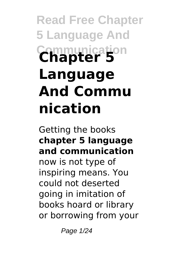# **Read Free Chapter 5 Language And Communication Chapter 5 Language And Commu nication**

Getting the books **chapter 5 language and communication** now is not type of inspiring means. You could not deserted going in imitation of books hoard or library or borrowing from your

Page 1/24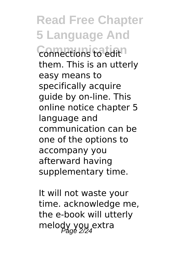**Read Free Chapter 5 Language And Connections fo edit**<sup>1</sup> them. This is an utterly easy means to specifically acquire guide by on-line. This online notice chapter 5 language and communication can be one of the options to accompany you afterward having supplementary time.

It will not waste your time. acknowledge me, the e-book will utterly melody you extra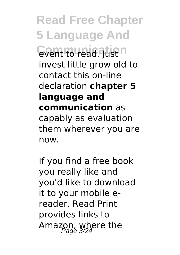**Read Free Chapter 5 Language And Communication** invest little grow old to contact this on-line declaration **chapter 5 language and communication** as capably as evaluation them wherever you are now.

If you find a free book you really like and you'd like to download it to your mobile ereader, Read Print provides links to Amazon, where the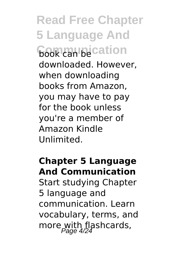**Read Free Chapter 5 Language And Cook** can be cation downloaded. However, when downloading books from Amazon, you may have to pay for the book unless you're a member of Amazon Kindle Unlimited.

#### **Chapter 5 Language And Communication**

Start studying Chapter 5 language and communication. Learn vocabulary, terms, and more with flashcards,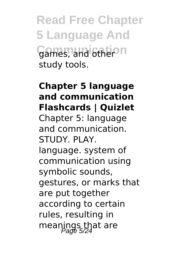**Read Free Chapter 5 Language And** Games, and other<sup>on</sup> study tools.

#### **Chapter 5 language and communication Flashcards | Quizlet** Chapter 5: language and communication. STUDY. PLAY. language. system of communication using symbolic sounds, gestures, or marks that are put together according to certain rules, resulting in meanings that are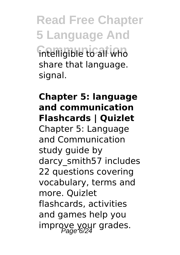**Read Free Chapter 5 Language And Communication** intelligible to all who share that language. signal.

### **Chapter 5: language and communication Flashcards | Quizlet** Chapter 5: Language and Communication study guide by darcy\_smith57 includes 22 questions covering vocabulary, terms and more. Quizlet flashcards, activities and games help you improve your grades.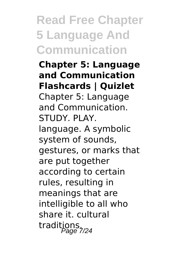**Chapter 5: Language and Communication Flashcards | Quizlet** Chapter 5: Language and Communication. STUDY. PLAY. language. A symbolic system of sounds, gestures, or marks that are put together according to certain rules, resulting in meanings that are intelligible to all who share it. cultural traditions.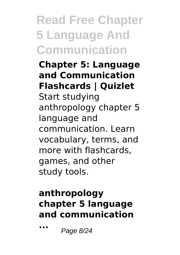#### **Chapter 5: Language and Communication Flashcards | Quizlet** Start studying anthropology chapter 5 language and communication. Learn vocabulary, terms, and more with flashcards, games, and other study tools.

### **anthropology chapter 5 language and communication**

**...** Page 8/24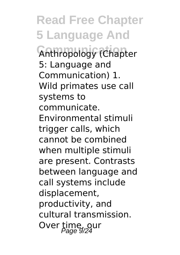**Read Free Chapter 5 Language And Anthropology (Chapter** 5: Language and Communication) 1. Wild primates use call systems to communicate. Environmental stimuli trigger calls, which cannot be combined when multiple stimuli are present. Contrasts between language and call systems include displacement, productivity, and cultural transmission. Over time, our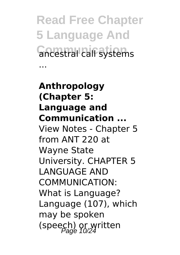**Read Free Chapter 5 Language And Concestral call systems** 

...

**Anthropology (Chapter 5: Language and Communication ...** View Notes - Chapter 5 from ANT 220 at Wayne State University. CHAPTER 5 LANGUAGE AND COMMUNICATION: What is Language? Language (107), which may be spoken (speech) or written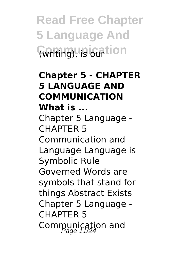**Read Free Chapter 5 Language And Conting), is our tion** 

#### **Chapter 5 - CHAPTER 5 LANGUAGE AND COMMUNICATION What is ...**

Chapter 5 Language - CHAPTER 5 Communication and Language Language is Symbolic Rule Governed Words are symbols that stand for things Abstract Exists Chapter 5 Language - CHAPTER 5 Communication and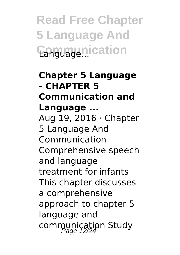#### **Chapter 5 Language - CHAPTER 5 Communication and Language ...** Aug 19, 2016  $\cdot$  Chapter 5 Language And Communication Comprehensive speech and language treatment for infants This chapter discusses a comprehensive approach to chapter 5 language and communication Study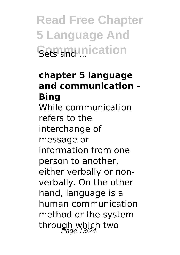### **chapter 5 language and communication - Bing**

While communication refers to the interchange of message or information from one person to another, either verbally or nonverbally. On the other hand, language is a human communication method or the system through which two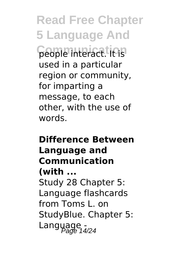**Read Free Chapter 5 Language And Come interact. It's** used in a particular region or community, for imparting a message, to each other, with the use of words.

## **Difference Between Language and Communication (with ...** Study 28 Chapter 5: Language flashcards from Toms L. on StudyBlue. Chapter 5: Language -<br>Language 14/24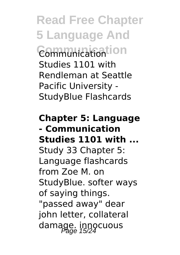**Read Free Chapter 5 Language And Communication** Communication Studies 1101 with Rendleman at Seattle Pacific University - StudyBlue Flashcards

**Chapter 5: Language - Communication Studies 1101 with ...** Study 33 Chapter 5: Language flashcards from Zoe M. on StudyBlue. softer ways of saying things. "passed away" dear john letter, collateral damage. innocuous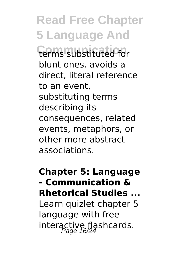**Read Free Chapter 5 Language And Communication** terms substituted for blunt ones. avoids a direct, literal reference to an event, substituting terms describing its consequences, related events, metaphors, or other more abstract associations.

#### **Chapter 5: Language - Communication & Rhetorical Studies ...**

Learn quizlet chapter 5 language with free interactive flashcards.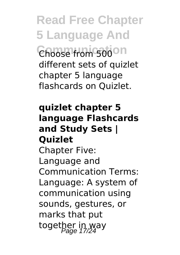**Read Free Chapter 5 Language And** Choose from 500 on different sets of quizlet chapter 5 language flashcards on Quizlet.

#### **quizlet chapter 5 language Flashcards and Study Sets | Quizlet** Chapter Five: Language and Communication Terms: Language: A system of communication using sounds, gestures, or marks that put

together in way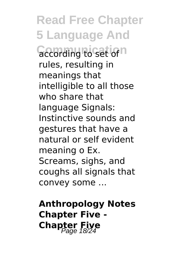**Read Free Chapter 5 Language And Coording to set of** n rules, resulting in meanings that intelligible to all those who share that language Signals: Instinctive sounds and gestures that have a natural or self evident meaning o Ex. Screams, sighs, and coughs all signals that convey some ...

**Anthropology Notes Chapter Five - Chapter Five**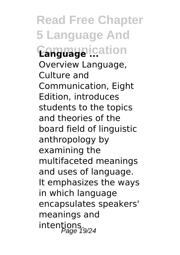**Read Free Chapter 5 Language And Communication Language ...** Overview Language, Culture and Communication, Eight Edition, introduces students to the topics and theories of the board field of linguistic anthropology by examining the multifaceted meanings and uses of language. It emphasizes the ways in which language encapsulates speakers' meanings and intentions.<br>Page 19/24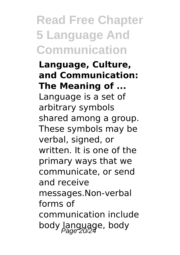**Language, Culture, and Communication: The Meaning of ...** Language is a set of arbitrary symbols shared among a group. These symbols may be verbal, signed, or written. It is one of the primary ways that we communicate, or send and receive messages.Non-verbal forms of communication include body language, body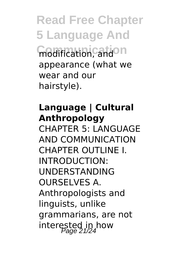**Read Free Chapter 5 Language And Communication** modification, and appearance (what we wear and our hairstyle).

#### **Language | Cultural Anthropology**

CHAPTER 5: LANGUAGE AND COMMUNICATION CHAPTER OUTLINE I. INTRODUCTION: UNDERSTANDING OURSELVES A. Anthropologists and linguists, unlike grammarians, are not interested in how Page 21/24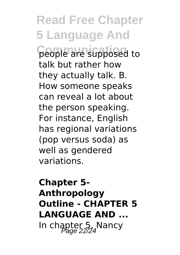**Read Free Chapter 5 Language And** people are supposed to talk but rather how they actually talk. B. How someone speaks can reveal a lot about the person speaking. For instance, English has regional variations (pop versus soda) as well as gendered variations.

# **Chapter 5- Anthropology Outline - CHAPTER 5 LANGUAGE AND ...** In chapter 5, Nancy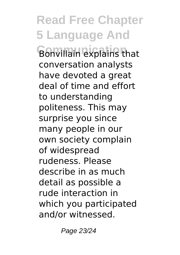**Read Free Chapter 5 Language And Bonvillain explains that** conversation analysts have devoted a great deal of time and effort to understanding politeness. This may surprise you since many people in our own society complain of widespread rudeness. Please describe in as much detail as possible a rude interaction in which you participated and/or witnessed.